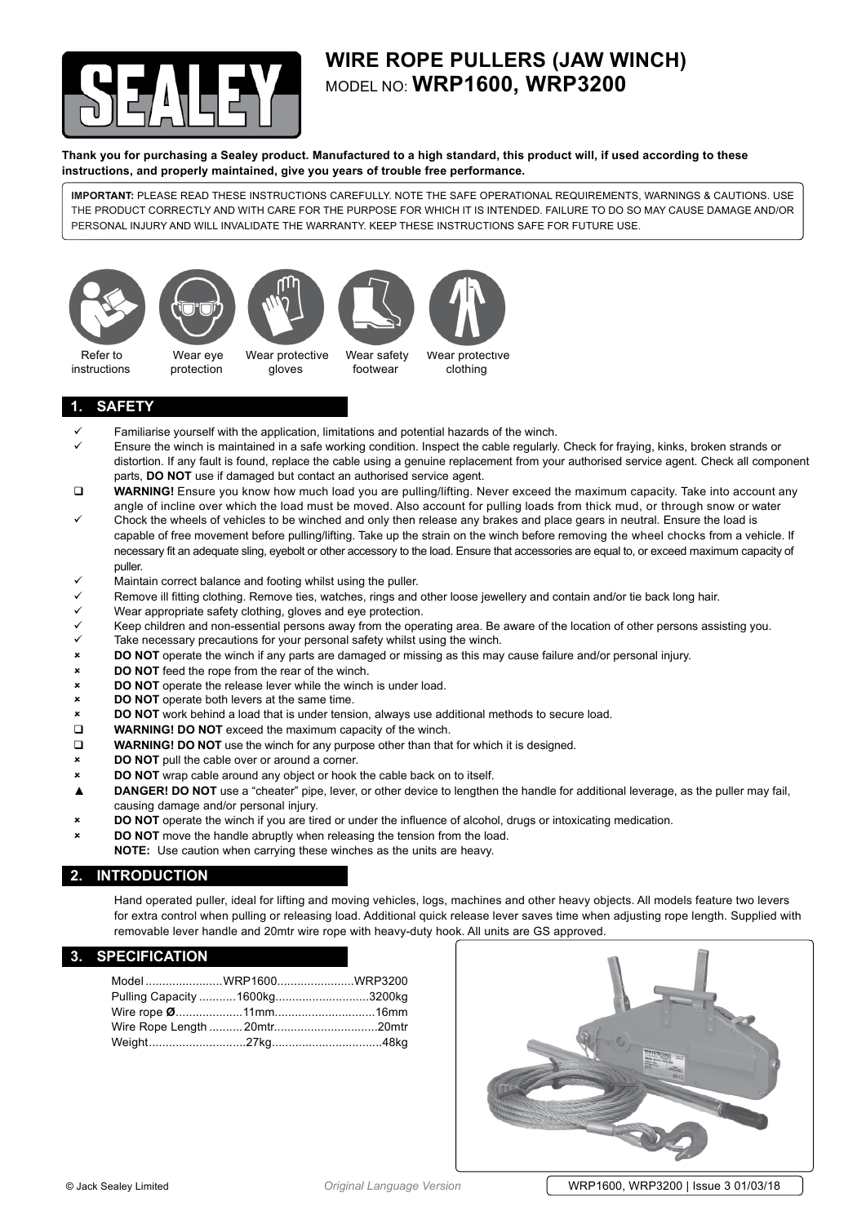

## **wire rope pullers (jaw winch)** model no: **WRP1600, WRP3200**

**Thank you for purchasing a Sealey product. Manufactured to a high standard, this product will, if used according to these instructions, and properly maintained, give you years of trouble free performance.**

**IMPORTANT:** PLEASE READ THESE INSTRUCTIONS CAREFULLY. NOTE THE SAFE OPERATIONAL REQUIREMENTS, WARNINGS & CAUTIONS. USE THE PRODUCT CORRECTLY AND WITH CARE FOR THE PURPOSE FOR WHICH IT IS INTENDED. FAILURE TO DO SO MAY CAUSE DAMAGE AND/OR PERSONAL INJURY AND WILL INVALIDATE THE WARRANTY. KEEP THESE INSTRUCTIONS SAFE FOR FUTURE USE.









 Refer to instructions

Wear eye protection Wear protective gloves

Wear safety footwear

Wear protective clothing

## **1. safety**

- Familiarise yourself with the application, limitations and potential hazards of the winch.
- Ensure the winch is maintained in a safe working condition. Inspect the cable regularly. Check for fraying, kinks, broken strands or distortion. If any fault is found, replace the cable using a genuine replacement from your authorised service agent. Check all component parts, **DO NOT** use if damaged but contact an authorised service agent.
- **WARNING!** Ensure you know how much load you are pulling/lifting. Never exceed the maximum capacity. Take into account any angle of incline over which the load must be moved. Also account for pulling loads from thick mud, or through snow or water
- Chock the wheels of vehicles to be winched and only then release any brakes and place gears in neutral. Ensure the load is capable of free movement before pulling/lifting. Take up the strain on the winch before removing the wheel chocks from a vehicle. If necessary fit an adequate sling, eyebolt or other accessory to the load. Ensure that accessories are equal to, or exceed maximum capacity of puller.
- Maintain correct balance and footing whilst using the puller.
- Remove ill fitting clothing. Remove ties, watches, rings and other loose jewellery and contain and/or tie back long hair.
- Wear appropriate safety clothing, gloves and eye protection.
- Keep children and non-essential persons away from the operating area. Be aware of the location of other persons assisting you.
- $\checkmark$  Take necessary precautions for your personal safety whilst using the winch.
- 8 **DO NOT** operate the winch if any parts are damaged or missing as this may cause failure and/or personal injury.
- 8 **DO NOT** feed the rope from the rear of the winch.
- 8 **DO NOT** operate the release lever while the winch is under load.
- **EXECUTE: DO NOT** operate both levers at the same time.
- **DO NOT** work behind a load that is under tension, always use additional methods to secure load.
- **WARNING! DO NOT** exceed the maximum capacity of the winch.
- **WARNING! DO NOT** use the winch for any purpose other than that for which it is designed.
- 8 **DO NOT** pull the cable over or around a corner.
- **DO NOT** wrap cable around any object or hook the cable back on to itself.
- ▲ **DANGER! DO NOT** use a "cheater" pipe, lever, or other device to lengthen the handle for additional leverage, as the puller may fail, causing damage and/or personal injury.
- **DO** NOT operate the winch if you are tired or under the influence of alcohol, drugs or intoxicating medication.
- **DO NOT** move the handle abruptly when releasing the tension from the load. **NOTE:** Use caution when carrying these winches as the units are heavy.

## **2. introduction**

Hand operated puller, ideal for lifting and moving vehicles, logs, machines and other heavy objects. All models feature two levers for extra control when pulling or releasing load. Additional quick release lever saves time when adjusting rope length. Supplied with removable lever handle and 20mtr wire rope with heavy-duty hook. All units are GS approved.

### **3. specification**

| Model WRP1600WRP3200          |  |
|-------------------------------|--|
| Pulling Capacity 1600kg3200kg |  |
|                               |  |
|                               |  |
|                               |  |
|                               |  |